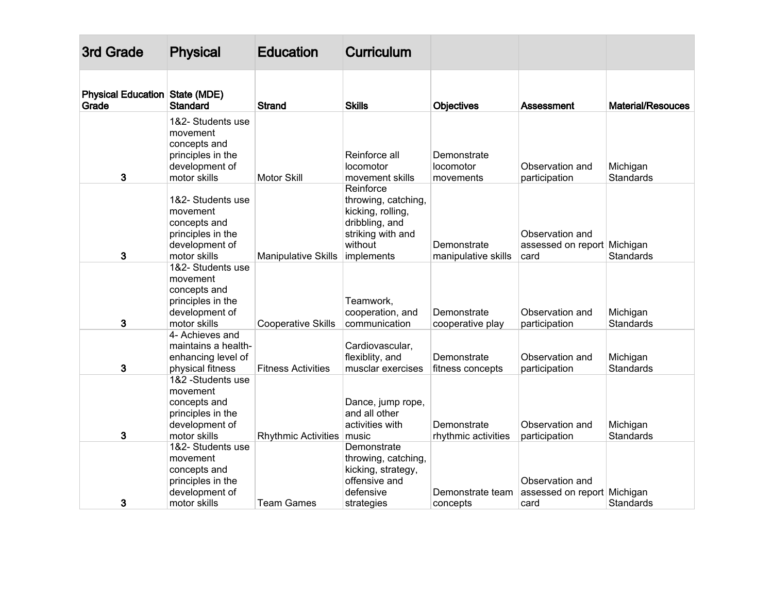| 3rd Grade                                      | <b>Physical</b>                                                                                      | <b>Education</b>            | <b>Curriculum</b>                                                                                                     |                                       |                                                        |                              |
|------------------------------------------------|------------------------------------------------------------------------------------------------------|-----------------------------|-----------------------------------------------------------------------------------------------------------------------|---------------------------------------|--------------------------------------------------------|------------------------------|
| <b>Physical Education State (MDE)</b><br>Grade | <b>Standard</b>                                                                                      | Strand                      | <b>Skills</b>                                                                                                         | <b>Objectives</b>                     | Assessment                                             | <b>Material/Resouces</b>     |
| 3                                              | 1&2- Students use<br>movement<br>concepts and<br>principles in the<br>development of<br>motor skills | <b>Motor Skill</b>          | Reinforce all<br>locomotor<br>movement skills                                                                         | Demonstrate<br>locomotor<br>movements | Observation and<br>participation                       | Michigan<br><b>Standards</b> |
| 3                                              | 1&2- Students use<br>movement<br>concepts and<br>principles in the<br>development of<br>motor skills | <b>Manipulative Skills</b>  | Reinforce<br>throwing, catching,<br>kicking, rolling,<br>dribbling, and<br>striking with and<br>without<br>implements | Demonstrate<br>manipulative skills    | Observation and<br>assessed on report Michigan<br>card | <b>Standards</b>             |
| 3                                              | 1&2- Students use<br>movement<br>concepts and<br>principles in the<br>development of<br>motor skills | <b>Cooperative Skills</b>   | Teamwork,<br>cooperation, and<br>communication                                                                        | Demonstrate<br>cooperative play       | Observation and<br>participation                       | Michigan<br><b>Standards</b> |
| 3                                              | 4- Achieves and<br>maintains a health-<br>enhancing level of<br>physical fitness                     | <b>Fitness Activities</b>   | Cardiovascular,<br>flexiblity, and<br>musclar exercises                                                               | Demonstrate<br>fitness concepts       | Observation and<br>participation                       | Michigan<br><b>Standards</b> |
| 3                                              | 1&2 -Students use<br>movement<br>concepts and<br>principles in the<br>development of<br>motor skills | Rhythmic Activities   music | Dance, jump rope,<br>and all other<br>activities with                                                                 | Demonstrate<br>rhythmic activities    | Observation and<br>participation                       | Michigan<br><b>Standards</b> |
| 3                                              | 1&2- Students use<br>movement<br>concepts and<br>principles in the<br>development of<br>motor skills | <b>Team Games</b>           | Demonstrate<br>throwing, catching,<br>kicking, strategy,<br>offensive and<br>defensive<br>strategies                  | Demonstrate team<br>concepts          | Observation and<br>assessed on report Michigan<br>card | Standards                    |